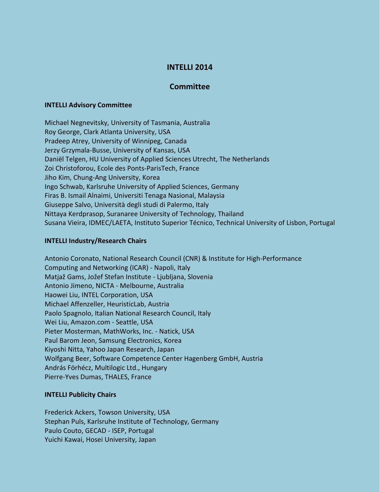# **INTELLI 2014**

## **Committee**

#### **INTELLI Advisory Committee**

Michael Negnevitsky, University of Tasmania, Australia Roy George, Clark Atlanta University, USA Pradeep Atrey, University of Winnipeg, Canada Jerzy Grzymala-Busse, University of Kansas, USA Daniël Telgen, HU University of Applied Sciences Utrecht, The Netherlands Zoi Christoforou, Ecole des Ponts-ParisTech, France Jiho Kim, Chung-Ang University, Korea Ingo Schwab, Karlsruhe University of Applied Sciences, Germany Firas B. Ismail Alnaimi, Universiti Tenaga Nasional, Malaysia Giuseppe Salvo, Università degli studi di Palermo, Italy Nittaya Kerdprasop, Suranaree University of Technology, Thailand Susana Vieira, IDMEC/LAETA, Instituto Superior Técnico, Technical University of Lisbon, Portugal

## **INTELLI Industry/Research Chairs**

Antonio Coronato, National Research Council (CNR) & Institute for High-Performance Computing and Networking (ICAR) - Napoli, Italy Matjaž Gams, Jožef Stefan Institute - Ljubljana, Slovenia Antonio Jimeno, NICTA - Melbourne, Australia Haowei Liu, INTEL Corporation, USA Michael Affenzeller, HeuristicLab, Austria Paolo Spagnolo, Italian National Research Council, Italy Wei Liu, Amazon.com - Seattle, USA Pieter Mosterman, MathWorks, Inc. - Natick, USA Paul Barom Jeon, Samsung Electronics, Korea Kiyoshi Nitta, Yahoo Japan Research, Japan Wolfgang Beer, Software Competence Center Hagenberg GmbH, Austria András Förhécz, Multilogic Ltd., Hungary Pierre-Yves Dumas, THALES, France

## **INTELLI Publicity Chairs**

Frederick Ackers, Towson University, USA Stephan Puls, Karlsruhe Institute of Technology, Germany Paulo Couto, GECAD - ISEP, Portugal Yuichi Kawai, Hosei University, Japan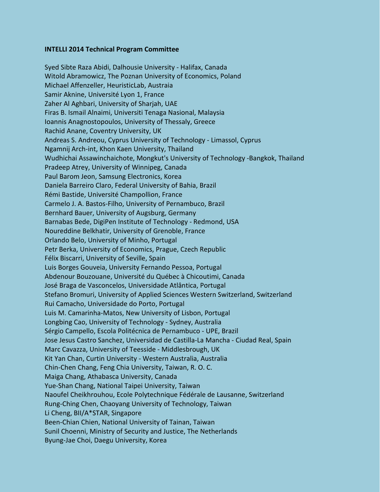#### **INTELLI 2014 Technical Program Committee**

Syed Sibte Raza Abidi, Dalhousie University - Halifax, Canada Witold Abramowicz, The Poznan University of Economics, Poland Michael Affenzeller, HeuristicLab, Austraia Samir Aknine, Université Lyon 1, France Zaher Al Aghbari, University of Sharjah, UAE Firas B. Ismail Alnaimi, Universiti Tenaga Nasional, Malaysia Ioannis Anagnostopoulos, University of Thessaly, Greece Rachid Anane, Coventry University, UK Andreas S. Andreou, Cyprus University of Technology - Limassol, Cyprus Ngamnij Arch-int, Khon Kaen University, Thailand Wudhichai Assawinchaichote, Mongkut's University of Technology -Bangkok, Thailand Pradeep Atrey, University of Winnipeg, Canada Paul Barom Jeon, Samsung Electronics, Korea Daniela Barreiro Claro, Federal University of Bahia, Brazil Rémi Bastide, Université Champollion, France Carmelo J. A. Bastos-Filho, University of Pernambuco, Brazil Bernhard Bauer, University of Augsburg, Germany Barnabas Bede, DigiPen Institute of Technology - Redmond, USA Noureddine Belkhatir, University of Grenoble, France Orlando Belo, University of Minho, Portugal Petr Berka, University of Economics, Prague, Czech Republic Félix Biscarri, University of Seville, Spain Luis Borges Gouveia, University Fernando Pessoa, Portugal Abdenour Bouzouane, Université du Québec à Chicoutimi, Canada José Braga de Vasconcelos, Universidade Atlântica, Portugal Stefano Bromuri, University of Applied Sciences Western Switzerland, Switzerland Rui Camacho, Universidade do Porto, Portugal Luis M. Camarinha-Matos, New University of Lisbon, Portugal Longbing Cao, University of Technology - Sydney, Australia Sérgio Campello, Escola Politécnica de Pernambuco - UPE, Brazil Jose Jesus Castro Sanchez, Universidad de Castilla-La Mancha - Ciudad Real, Spain Marc Cavazza, University of Teesside - Middlesbrough, UK Kit Yan Chan, Curtin University - Western Australia, Australia Chin-Chen Chang, Feng Chia University, Taiwan, R. O. C. Maiga Chang, Athabasca University, Canada Yue-Shan Chang, National Taipei University, Taiwan Naoufel Cheikhrouhou, Ecole Polytechnique Fédérale de Lausanne, Switzerland Rung-Ching Chen, Chaoyang University of Technology, Taiwan Li Cheng, BII/A\*STAR, Singapore Been-Chian Chien, National University of Tainan, Taiwan Sunil Choenni, Ministry of Security and Justice, The Netherlands Byung-Jae Choi, Daegu University, Korea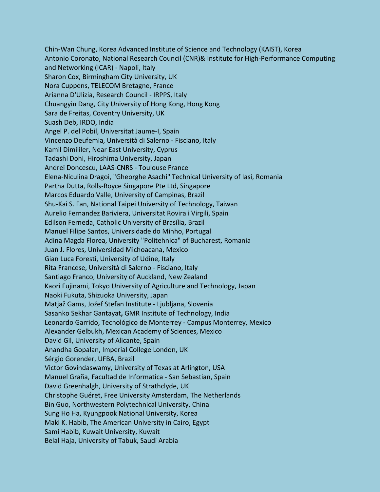Chin-Wan Chung, Korea Advanced Institute of Science and Technology (KAIST), Korea Antonio Coronato, National Research Council (CNR)& Institute for High-Performance Computing and Networking (ICAR) - Napoli, Italy Sharon Cox, Birmingham City University, UK Nora Cuppens, TELECOM Bretagne, France Arianna D'Ulizia, Research Council - IRPPS, Italy Chuangyin Dang, City University of Hong Kong, Hong Kong Sara de Freitas, Coventry University, UK Suash Deb, IRDO, India Angel P. del Pobil, Universitat Jaume-I, Spain Vincenzo Deufemia, Università di Salerno - Fisciano, Italy Kamil Dimililer, Near East University, Cyprus Tadashi Dohi, Hiroshima University, Japan Andrei Doncescu, LAAS-CNRS - Toulouse France Elena-Niculina Dragoi, "Gheorghe Asachi" Technical University of Iasi, Romania Partha Dutta, Rolls-Royce Singapore Pte Ltd, Singapore Marcos Eduardo Valle, University of Campinas, Brazil Shu-Kai S. Fan, National Taipei University of Technology, Taiwan Aurelio Fernandez Bariviera, Universitat Rovira i Virgili, Spain Edilson Ferneda, Catholic University of Brasília, Brazil Manuel Filipe Santos, Universidade do Minho, Portugal Adina Magda Florea, University "Politehnica" of Bucharest, Romania Juan J. Flores, Universidad Michoacana, Mexico Gian Luca Foresti, University of Udine, Italy Rita Francese, Università di Salerno - Fisciano, Italy Santiago Franco, University of Auckland, New Zealand Kaori Fujinami, Tokyo University of Agriculture and Technology, Japan Naoki Fukuta, Shizuoka University, Japan Matjaž Gams, Jožef Stefan Institute - Ljubljana, Slovenia Sasanko Sekhar Gantayat**,** GMR Institute of Technology, India Leonardo Garrido, Tecnológico de Monterrey - Campus Monterrey, Mexico Alexander Gelbukh, Mexican Academy of Sciences, Mexico David Gil, University of Alicante, Spain Anandha Gopalan, Imperial College London, UK Sérgio Gorender, UFBA, Brazil Victor Govindaswamy, University of Texas at Arlington, USA Manuel Graña, Facultad de Informatica - San Sebastian, Spain David Greenhalgh, University of Strathclyde, UK Christophe Guéret, Free University Amsterdam, The Netherlands Bin Guo, Northwestern Polytechnical University, China Sung Ho Ha, Kyungpook National University, Korea Maki K. Habib, The American University in Cairo, Egypt Sami Habib, Kuwait University, Kuwait Belal Haja, University of Tabuk, Saudi Arabia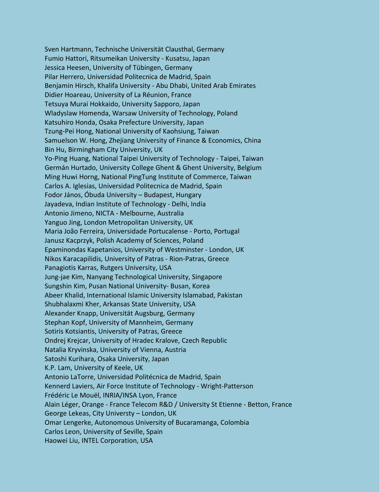Sven Hartmann, Technische Universität Clausthal, Germany Fumio Hattori, Ritsumeikan University - Kusatsu, Japan Jessica Heesen, University of Tübingen, Germany Pilar Herrero, Universidad Politecnica de Madrid, Spain Benjamin Hirsch, Khalifa University - Abu Dhabi, United Arab Emirates Didier Hoareau, University of La Réunion, France Tetsuya Murai Hokkaido, University Sapporo, Japan Wladyslaw Homenda, Warsaw University of Technology, Poland Katsuhiro Honda, Osaka Prefecture University, Japan Tzung-Pei Hong, National University of Kaohsiung, Taiwan Samuelson W. Hong, Zhejiang University of Finance & Economics, China Bin Hu, Birmingham City University, UK Yo-Ping Huang, National Taipei University of Technology - Taipei, Taiwan Germán Hurtado, University College Ghent & Ghent University, Belgium Ming Huwi Horng, National PingTung Institute of Commerce, Taiwan Carlos A. Iglesias, Universidad Politecnica de Madrid, Spain Fodor János, Óbuda University – Budapest, Hungary Jayadeva, Indian Institute of Technology - Delhi, India Antonio Jimeno, NICTA - Melbourne, Australia Yanguo Jing, London Metropolitan University, UK Maria João Ferreira, Universidade Portucalense - Porto, Portugal Janusz Kacprzyk, Polish Academy of Sciences, Poland Epaminondas Kapetanios, University of Westminster - London, UK Nikos Karacapilidis, University of Patras - Rion-Patras, Greece Panagiotis Karras, Rutgers University, USA Jung-jae Kim, Nanyang Technological University, Singapore Sungshin Kim, Pusan National University- Busan, Korea Abeer Khalid, International Islamic University Islamabad, Pakistan Shubhalaxmi Kher, Arkansas State University, USA Alexander Knapp, Universität Augsburg, Germany Stephan Kopf, University of Mannheim, Germany Sotiris Kotsiantis, University of Patras, Greece Ondrej Krejcar, University of Hradec Kralove, Czech Republic Natalia Kryvinska, University of Vienna, Austria Satoshi Kurihara, Osaka University, Japan K.P. Lam, University of Keele, UK Antonio LaTorre, Universidad Politécnica de Madrid, Spain Kennerd Laviers, Air Force Institute of Technology - Wright-Patterson Frédéric Le Mouël, INRIA/INSA Lyon, France Alain Léger, Orange - France Telecom R&D / University St Etienne - Betton, France George Lekeas, City Universty – London, UK Omar Lengerke, Autonomous University of Bucaramanga, Colombia Carlos Leon, University of Seville, Spain Haowei Liu, INTEL Corporation, USA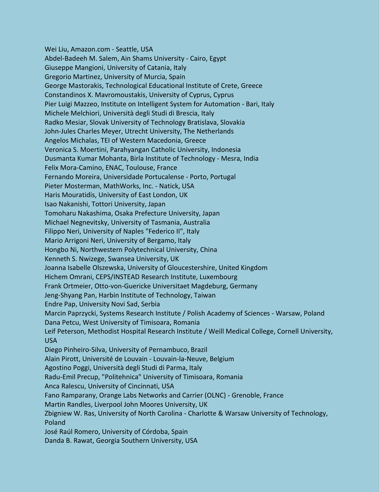Wei Liu, Amazon.com - Seattle, USA Abdel-Badeeh M. Salem, Ain Shams University - Cairo, Egypt Giuseppe Mangioni, University of Catania, Italy Gregorio Martinez, University of Murcia, Spain George Mastorakis, Technological Educational Institute of Crete, Greece Constandinos X. Mavromoustakis, University of Cyprus, Cyprus Pier Luigi Mazzeo, Institute on Intelligent System for Automation - Bari, Italy Michele Melchiori, Università degli Studi di Brescia, Italy Radko Mesiar, Slovak University of Technology Bratislava, Slovakia John-Jules Charles Meyer, Utrecht University, The Netherlands Angelos Michalas, TEI of Western Macedonia, Greece Veronica S. Moertini, Parahyangan Catholic University, Indonesia Dusmanta Kumar Mohanta, Birla Institute of Technology - Mesra, India Felix Mora-Camino, ENAC, Toulouse, France Fernando Moreira, Universidade Portucalense - Porto, Portugal Pieter Mosterman, MathWorks, Inc. - Natick, USA Haris Mouratidis, University of East London, UK Isao Nakanishi, Tottori University, Japan Tomoharu Nakashima, Osaka Prefecture University, Japan Michael Negnevitsky, University of Tasmania, Australia Filippo Neri, University of Naples "Federico II", Italy Mario Arrigoni Neri, University of Bergamo, Italy Hongbo Ni, Northwestern Polytechnical University, China Kenneth S. Nwizege, Swansea University, UK Joanna Isabelle Olszewska, University of Gloucestershire, United Kingdom Hichem Omrani, CEPS/INSTEAD Research Institute, Luxembourg Frank Ortmeier, Otto-von-Guericke Universitaet Magdeburg, Germany Jeng-Shyang Pan, Harbin Institute of Technology, Taiwan Endre Pap, University Novi Sad, Serbia Marcin Paprzycki, Systems Research Institute / Polish Academy of Sciences - Warsaw, Poland Dana Petcu, West University of Timisoara, Romania Leif Peterson, Methodist Hospital Research Institute / Weill Medical College, Cornell University, USA Diego Pinheiro-Silva, University of Pernambuco, Brazil Alain Pirott, Université de Louvain - Louvain-la-Neuve, Belgium Agostino Poggi, Università degli Studi di Parma, Italy Radu-Emil Precup, "Politehnica" University of Timisoara, Romania Anca Ralescu, University of Cincinnati, USA Fano Ramparany, Orange Labs Networks and Carrier (OLNC) - Grenoble, France Martin Randles, Liverpool John Moores University, UK Zbigniew W. Ras, University of North Carolina - Charlotte & Warsaw University of Technology, Poland José Raúl Romero, University of Córdoba, Spain Danda B. Rawat, Georgia Southern University, USA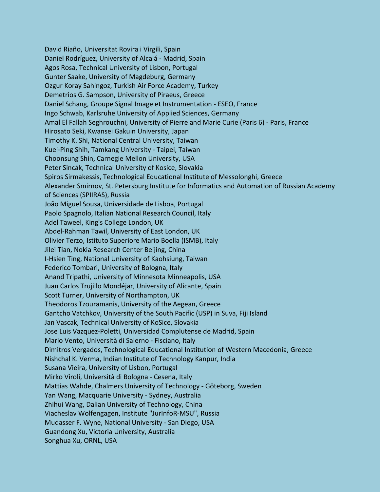David Riaño, Universitat Rovira i Virgili, Spain Daniel Rodríguez, University of Alcalá - Madrid, Spain Agos Rosa, Technical University of Lisbon, Portugal Gunter Saake, University of Magdeburg, Germany Ozgur Koray Sahingoz, Turkish Air Force Academy, Turkey Demetrios G. Sampson, University of Piraeus, Greece Daniel Schang, Groupe Signal Image et Instrumentation - ESEO, France Ingo Schwab, Karlsruhe University of Applied Sciences, Germany Amal El Fallah Seghrouchni, University of Pierre and Marie Curie (Paris 6) - Paris, France Hirosato Seki, Kwansei Gakuin University, Japan Timothy K. Shi, National Central University, Taiwan Kuei-Ping Shih, Tamkang University - Taipei, Taiwan Choonsung Shin, Carnegie Mellon University, USA Peter Sincák, Technical University of Kosice, Slovakia Spiros Sirmakessis, Technological Educational Institute of Messolonghi, Greece Alexander Smirnov, St. Petersburg Institute for Informatics and Automation of Russian Academy of Sciences (SPIIRAS), Russia João Miguel Sousa, Universidade de Lisboa, Portugal Paolo Spagnolo, Italian National Research Council, Italy Adel Taweel, King's College London, UK Abdel-Rahman Tawil, University of East London, UK Olivier Terzo, Istituto Superiore Mario Boella (ISMB), Italy Jilei Tian, Nokia Research Center Beijing, China I-Hsien Ting, National University of Kaohsiung, Taiwan Federico Tombari, University of Bologna, Italy Anand Tripathi, University of Minnesota Minneapolis, USA Juan Carlos Trujillo Mondéjar, University of Alicante, Spain Scott Turner, University of Northampton, UK Theodoros Tzouramanis, University of the Aegean, Greece Gantcho Vatchkov, University of the South Pacific (USP) in Suva, Fiji Island Jan Vascak, Technical University of KoSice, Slovakia Jose Luis Vazquez-Poletti, Universidad Complutense de Madrid, Spain Mario Vento, Università di Salerno - Fisciano, Italy Dimitros Vergados, Technological Educational Institution of Western Macedonia, Greece Nishchal K. Verma, Indian Institute of Technology Kanpur, India Susana Vieira, University of Lisbon, Portugal Mirko Viroli, Università di Bologna - Cesena, Italy Mattias Wahde, Chalmers University of Technology - Göteborg, Sweden Yan Wang, Macquarie University - Sydney, Australia Zhihui Wang, Dalian University of Technology, China Viacheslav Wolfengagen, Institute "JurInfoR-MSU", Russia Mudasser F. Wyne, National University - San Diego, USA Guandong Xu, Victoria University, Australia Songhua Xu, ORNL, USA